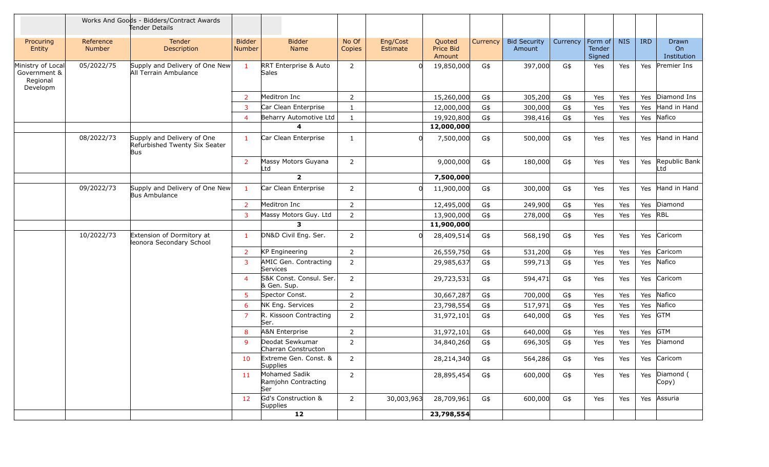|                                                           |                            | Works And Goods - Bidders/Contract Awards<br>Tender Details        |                         |                                                  |                 |                      |                               |          |                               |          |                             |            |            |                                  |
|-----------------------------------------------------------|----------------------------|--------------------------------------------------------------------|-------------------------|--------------------------------------------------|-----------------|----------------------|-------------------------------|----------|-------------------------------|----------|-----------------------------|------------|------------|----------------------------------|
| Procuring<br>Entity                                       | Reference<br><b>Number</b> | Tender<br>Description                                              | <b>Bidder</b><br>Number | <b>Bidder</b><br>Name                            | No Of<br>Copies | Eng/Cost<br>Estimate | Quoted<br>Price Bid<br>Amount | Currency | <b>Bid Security</b><br>Amount | Currency | Form of<br>Tender<br>Signed | <b>NIS</b> | <b>IRD</b> | Drawn<br>On<br>Institution       |
| Ministry of Local<br>Government &<br>Regional<br>Developm | 05/2022/75                 | Supply and Delivery of One New<br>All Terrain Ambulance            | $\mathbf{1}$            | <b>RRT Enterprise &amp; Auto</b><br><b>Sales</b> | $\overline{2}$  |                      | 19,850,000                    | G\$      | 397,000                       | G\$      | Yes                         | Yes        | Yes        | Premier Ins                      |
|                                                           |                            |                                                                    | $\overline{2}$          | Meditron Inc                                     | $\overline{2}$  |                      | 15,260,000                    | G\$      | 305,200                       | G\$      | Yes                         | Yes        | Yes        | Diamond Ins                      |
|                                                           |                            |                                                                    | $\overline{3}$          | Car Clean Enterprise                             | 1               |                      | 12,000,000                    | G\$      | 300,000                       | G\$      | Yes                         | Yes        | Yes        | Hand in Hand                     |
|                                                           |                            |                                                                    | $\overline{4}$          | Beharry Automotive Ltd                           | $\mathbf{1}$    |                      | 19,920,800                    | G\$      | 398,416                       | G\$      | Yes                         | Yes        | Yes        | Nafico                           |
|                                                           |                            |                                                                    |                         | 4                                                |                 |                      | 12,000,000                    |          |                               |          |                             |            |            |                                  |
|                                                           | 08/2022/73                 | Supply and Delivery of One<br>Refurbished Twenty Six Seater<br>Bus | $\mathbf{1}$            | Car Clean Enterprise                             | 1               |                      | 7,500,000                     | G\$      | 500,000                       | G\$      | Yes                         | Yes        | Yes        | Hand in Hand                     |
|                                                           |                            |                                                                    | 2                       | Massy Motors Guyana<br>Ltd                       | $\overline{2}$  |                      | 9,000,000                     | G\$      | 180,000                       | G\$      | Yes                         | Yes        | Yes        | Republic Bank<br>Ltd             |
|                                                           |                            |                                                                    |                         | $\overline{2}$                                   |                 |                      | 7,500,000                     |          |                               |          |                             |            |            |                                  |
|                                                           | 09/2022/73                 | Supply and Delivery of One New<br><b>Bus Ambulance</b>             | $\mathbf{1}$            | Car Clean Enterprise                             | 2               |                      | 11,900,000                    | G\$      | 300,000                       | G\$      | Yes                         | Yes        | Yes        | Hand in Hand                     |
|                                                           |                            |                                                                    | $\overline{2}$          | Meditron Inc                                     | $\overline{2}$  |                      | 12,495,000                    | G\$      | 249,900                       | G\$      | Yes                         | Yes        | Yes        | Diamond                          |
|                                                           |                            |                                                                    | $\overline{3}$          | Massy Motors Guy. Ltd                            | $\overline{2}$  |                      | 13,900,000                    | G\$      | 278,000                       | G\$      | Yes                         | Yes        | Yes        | RBL                              |
|                                                           |                            |                                                                    |                         | 3                                                |                 |                      | 11,900,000                    |          |                               |          |                             |            |            |                                  |
|                                                           | 10/2022/73                 | Extension of Dormitory at<br>leonora Secondary School              | -1                      | DN&D Civil Eng. Ser.                             | 2               |                      | 28,409,514                    | G\$      | 568,190                       | G\$      | Yes                         | Yes        | Yes        | Caricom                          |
|                                                           |                            |                                                                    | 2                       | <b>KP Engineering</b>                            | $\overline{2}$  |                      | 26,559,750                    | G\$      | 531,200                       | G\$      | Yes                         | Yes        | Yes        | Caricom                          |
|                                                           |                            |                                                                    | $\overline{3}$          | AMIC Gen. Contracting<br>Services                | $\overline{2}$  |                      | 29,985,637                    | G\$      | 599,713                       | G\$      | Yes                         | Yes        | Yes        | Nafico                           |
|                                                           |                            |                                                                    | $\overline{4}$          | S&K Const. Consul. Ser.<br>& Gen. Sup.           | $\overline{2}$  |                      | 29,723,531                    | G\$      | 594,471                       | G\$      | Yes                         | Yes        | Yes        | Caricom                          |
|                                                           |                            |                                                                    | 5                       | Spector Const.                                   | $\overline{2}$  |                      | 30,667,287                    | G\$      | 700,000                       | G\$      | Yes                         | Yes        | Yes        | Nafico                           |
|                                                           |                            |                                                                    | 6                       | NK Eng. Services                                 | $\overline{2}$  |                      | 23,798,554                    | G\$      | 517,971                       | G\$      | Yes                         | Yes        | Yes        | Nafico                           |
|                                                           |                            |                                                                    | $\overline{7}$          | R. Kissoon Contracting<br>Ser.                   | $\overline{2}$  |                      | 31,972,101                    | G\$      | 640,000                       | G\$      | Yes                         | Yes        | Yes        | <b>GTM</b>                       |
|                                                           |                            |                                                                    | 8                       | A&N Enterprise                                   | 2               |                      | 31,972,101                    | G\$      | 640,000                       | G\$      | Yes                         | Yes        | Yes        | <b>GTM</b>                       |
|                                                           |                            |                                                                    | 9                       | Deodat Sewkumar<br>Charran Constructon           | $\overline{2}$  |                      | 34,840,260                    | G\$      | 696,305                       | G\$      | Yes                         | Yes        | Yes        | Diamond                          |
|                                                           |                            |                                                                    | 10                      | Extreme Gen. Const. &<br><b>Supplies</b>         | 2               |                      | 28,214,340                    | G\$      | 564,286                       | G\$      | Yes                         | Yes        |            | Yes Caricom                      |
|                                                           |                            |                                                                    | 11                      | Mohamed Sadik<br>Ramjohn Contracting<br>Ser      | $\overline{2}$  |                      | 28,895,454                    | G\$      | 600,000                       | G\$      | Yes                         | Yes        |            | Yes Diamond (<br>$\mathsf{Copy}$ |
|                                                           |                            |                                                                    | 12                      | Gd's Construction &<br>Supplies                  | $\overline{2}$  | 30,003,963           | 28,709,961                    | G\$      | 600,000                       | G\$      | Yes                         | Yes        | Yes        | Assuria                          |
|                                                           |                            |                                                                    |                         | 12                                               |                 |                      | 23,798,554                    |          |                               |          |                             |            |            |                                  |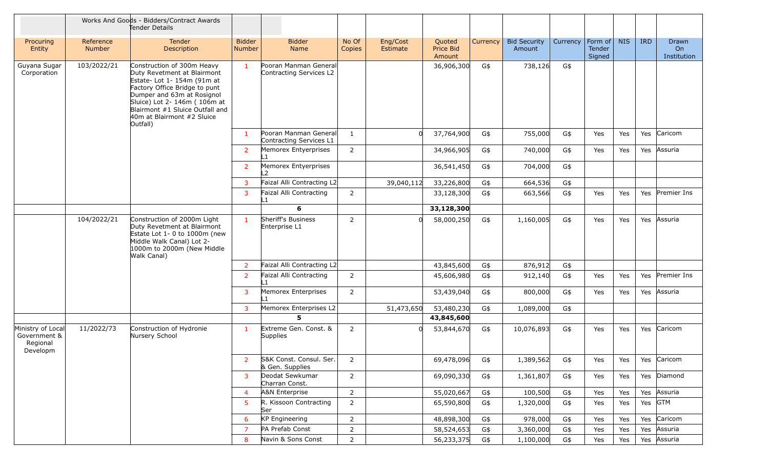|                                                           |                            | Works And Goods - Bidders/Contract Awards<br>Tender Details                                                                                                                                                                                                          |                                |                                                  |                 |                      |                               |          |                               |          |                                    |            |            |                            |
|-----------------------------------------------------------|----------------------------|----------------------------------------------------------------------------------------------------------------------------------------------------------------------------------------------------------------------------------------------------------------------|--------------------------------|--------------------------------------------------|-----------------|----------------------|-------------------------------|----------|-------------------------------|----------|------------------------------------|------------|------------|----------------------------|
| Procuring<br>Entity                                       | Reference<br><b>Number</b> | Tender<br>Description                                                                                                                                                                                                                                                | <b>Bidder</b><br><b>Number</b> | <b>Bidder</b><br><b>Name</b>                     | No Of<br>Copies | Eng/Cost<br>Estimate | Quoted<br>Price Bid<br>Amount | Currency | <b>Bid Security</b><br>Amount | Currency | Form of<br><b>Tender</b><br>Signed | <b>NIS</b> | <b>IRD</b> | Drawn<br>On<br>Institution |
| Guyana Sugar<br>Corporation                               | 103/2022/21                | Construction of 300m Heavy<br>Duty Revetment at Blairmont<br>Estate- Lot 1- 154m (91m at<br>Factory Office Bridge to punt<br>Dumper and 63m at Rosignol<br>Sluice) Lot 2- 146m (106m at<br>Blairmont #1 Sluice Outfall and<br>40m at Blairmont #2 Sluice<br>Outfall) | $\mathbf{1}$                   | Pooran Manman General<br>Contracting Services L2 |                 |                      | 36,906,300                    | G\$      | 738,126                       | G\$      |                                    |            |            |                            |
|                                                           |                            |                                                                                                                                                                                                                                                                      | $\mathbf{1}$                   | Pooran Manman General<br>Contracting Services L1 | $\mathbf{1}$    |                      | 37,764,900                    | G\$      | 755,000                       | G\$      | Yes                                | Yes        | Yes        | Caricom                    |
|                                                           |                            |                                                                                                                                                                                                                                                                      | $\overline{2}$                 | Memorex Entyerprises<br>L1                       | $\overline{2}$  |                      | 34,966,905                    | G\$      | 740,000                       | G\$      | Yes                                | Yes        | Yes        | Assuria                    |
|                                                           |                            |                                                                                                                                                                                                                                                                      | $\overline{2}$                 | Memorex Entyerprises<br>L2                       |                 |                      | 36,541,450                    | G\$      | 704,000                       | G\$      |                                    |            |            |                            |
|                                                           |                            |                                                                                                                                                                                                                                                                      | 3                              | Faizal Alli Contracting L2                       |                 | 39,040,112           | 33,226,800                    | G\$      | 664,536                       | G\$      |                                    |            |            |                            |
|                                                           |                            |                                                                                                                                                                                                                                                                      | 3                              | Faizal Alli Contracting<br>L1                    | $\overline{2}$  |                      | 33,128,300                    | G\$      | 663,566                       | G\$      | Yes                                | Yes        | Yes        | Premier Ins                |
|                                                           |                            |                                                                                                                                                                                                                                                                      |                                | 6                                                |                 |                      | 33,128,300                    |          |                               |          |                                    |            |            |                            |
|                                                           | 104/2022/21                | Construction of 2000m Light<br>Duty Revetment at Blairmont<br>Estate Lot 1- 0 to 1000m (new<br>Middle Walk Canal) Lot 2-<br>1000m to 2000m (New Middle<br>Walk Canal)                                                                                                | $\blacksquare$                 | Sheriff's Business<br>Enterprise L1              | 2               |                      | 58,000,250                    | G\$      | 1,160,005                     | G\$      | Yes                                | Yes        | Yes        | Assuria                    |
|                                                           |                            |                                                                                                                                                                                                                                                                      | $\overline{2}$                 | Faizal Alli Contracting L2                       |                 |                      | 43,845,600                    | G\$      | 876,912                       | G\$      |                                    |            |            |                            |
|                                                           |                            |                                                                                                                                                                                                                                                                      | $\overline{2}$                 | Faizal Alli Contracting<br>L1                    | $\overline{2}$  |                      | 45,606,980                    | G\$      | 912,140                       | G\$      | Yes                                | Yes        | Yes        | Premier Ins                |
|                                                           |                            |                                                                                                                                                                                                                                                                      | 3                              | Memorex Enterprises<br>L1                        | $\overline{2}$  |                      | 53,439,040                    | G\$      | 800,000                       | G\$      | Yes                                | Yes        | Yes        | Assuria                    |
|                                                           |                            |                                                                                                                                                                                                                                                                      | 3                              | Memorex Enterprises L2                           |                 | 51,473,650           | 53,480,230                    | G\$      | 1,089,000                     | G\$      |                                    |            |            |                            |
|                                                           |                            |                                                                                                                                                                                                                                                                      |                                | 5.                                               |                 |                      | 43,845,600                    |          |                               |          |                                    |            |            |                            |
| Ministry of Local<br>Government &<br>Regional<br>Developm | 11/2022/73                 | Construction of Hydronie<br>Nursery School                                                                                                                                                                                                                           | $\mathbf{1}$                   | Extreme Gen. Const. &<br>Supplies                | 2               |                      | 53,844,670                    | G\$      | 10,076,893                    | G\$      | Yes                                | Yes        | Yes        | Caricom                    |
|                                                           |                            |                                                                                                                                                                                                                                                                      | $\overline{2}$                 | S&K Const. Consul. Ser.<br>& Gen. Supplies       | 2               |                      | 69,478,096                    | G\$      | 1,389,562                     | G\$      | Yes                                | Yes        |            | Yes Caricom                |
|                                                           |                            |                                                                                                                                                                                                                                                                      | 3                              | Deodat Sewkumar<br>Charran Const.                | $\overline{2}$  |                      | 69,090,330                    | G\$      | 1,361,807                     | G\$      | Yes                                | Yes        |            | Yes Diamond                |
|                                                           |                            |                                                                                                                                                                                                                                                                      | $\overline{4}$                 | A&N Enterprise                                   | $\overline{2}$  |                      | 55,020,667                    | G\$      | 100,500                       | G\$      | Yes                                | Yes        | Yes        | Assuria                    |
|                                                           |                            |                                                                                                                                                                                                                                                                      | 5                              | R. Kissoon Contracting<br>Ser                    | $\overline{2}$  |                      | 65,590,800                    | G\$      | 1,320,000                     | G\$      | Yes                                | Yes        | Yes GTM    |                            |
|                                                           |                            |                                                                                                                                                                                                                                                                      | 6                              | KP Engineering                                   | $\overline{2}$  |                      | 48,898,300                    | G\$      | 978,000                       | G\$      | Yes                                | Yes        | Yes        | Caricom                    |
|                                                           |                            |                                                                                                                                                                                                                                                                      | $\overline{7}$                 | PA Prefab Const                                  | $\overline{2}$  |                      | 58,524,653                    | G\$      | 3,360,000                     | G\$      | Yes                                | Yes        | Yes        | Assuria                    |
|                                                           |                            |                                                                                                                                                                                                                                                                      | 8                              | Navin & Sons Const                               | $\overline{2}$  |                      | 56,233,375                    | G\$      | 1,100,000                     | G\$      | Yes                                | Yes        |            | Yes Assuria                |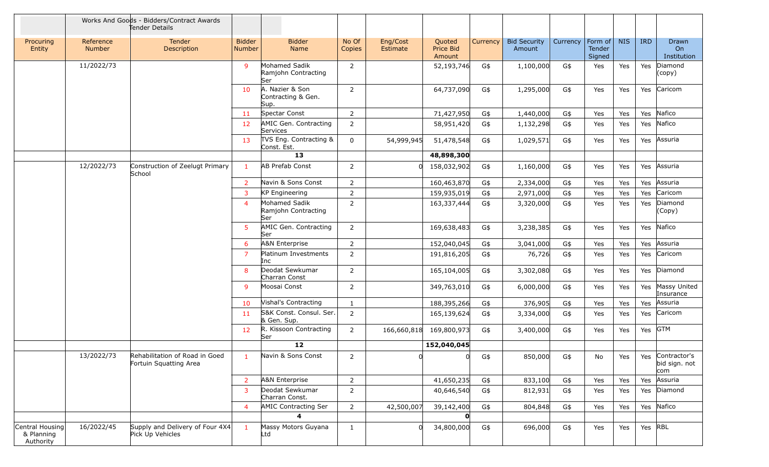|                                            |                     | Works And Goods - Bidders/Contract Awards<br>Tender Details |                         |                                                    |                 |                      |                               |          |                               |          |                             |            |            |                                          |
|--------------------------------------------|---------------------|-------------------------------------------------------------|-------------------------|----------------------------------------------------|-----------------|----------------------|-------------------------------|----------|-------------------------------|----------|-----------------------------|------------|------------|------------------------------------------|
| Procuring<br>Entity                        | Reference<br>Number | Tender<br>Description                                       | <b>Bidder</b><br>Number | <b>Bidder</b><br>Name                              | No Of<br>Copies | Eng/Cost<br>Estimate | Quoted<br>Price Bid<br>Amount | Currency | <b>Bid Security</b><br>Amount | Currency | Form of<br>Tender<br>Signed | <b>NIS</b> | <b>IRD</b> | Drawn<br>On<br>Institution               |
|                                            | 11/2022/73          |                                                             | 9                       | Mohamed Sadik<br>Ramjohn Contracting<br>Ser        | 2               |                      | 52,193,746                    | G\$      | 1,100,000                     | G\$      | Yes                         | Yes        | Yes        | Diamond<br>(copy)                        |
|                                            |                     |                                                             | 10                      | A. Nazier & Son<br>Contracting & Gen.<br>Sup.      | $\overline{2}$  |                      | 64,737,090                    | G\$      | 1,295,000                     | G\$      | Yes                         | Yes        | Yes        | Caricom                                  |
|                                            |                     |                                                             | 11                      | Spectar Const                                      | $\overline{2}$  |                      | 71,427,950                    | G\$      | 1,440,000                     | G\$      | Yes                         | Yes        | Yes        | Nafico                                   |
|                                            |                     |                                                             | 12                      | AMIC Gen. Contracting<br>Services                  | 2               |                      | 58,951,420                    | G\$      | 1,132,298                     | G\$      | Yes                         | Yes        | Yes        | Nafico                                   |
|                                            |                     |                                                             | 13                      | TVS Eng. Contracting &<br>Const. Est.              | $\mathbf 0$     | 54,999,945           | 51,478,548                    | G\$      | 1,029,571                     | G\$      | Yes                         | Yes        | Yes        | Assuria                                  |
|                                            |                     |                                                             |                         | 13                                                 |                 |                      | 48,898,300                    |          |                               |          |                             |            |            |                                          |
|                                            | 12/2022/73          | Construction of Zeelugt Primary<br>School                   | $\mathbf{1}$            | <b>AB Prefab Const</b>                             | 2               | <sub>0</sub>         | 158,032,902                   | G\$      | 1,160,000                     | G\$      | Yes                         | Yes        | Yes        | Assuria                                  |
|                                            |                     |                                                             | $\overline{2}$          | Navin & Sons Const                                 | 2               |                      | 160,463,870                   | G\$      | 2,334,000                     | G\$      | Yes                         | Yes        | Yes        | Assuria                                  |
|                                            |                     |                                                             | 3                       | <b>KP Engineering</b>                              | $\overline{2}$  |                      | 159,935,019                   | G\$      | 2,971,000                     | G\$      | Yes                         | Yes        | Yes        | Caricom                                  |
|                                            |                     |                                                             | $\overline{4}$          | Mohamed Sadik<br>Ramjohn Contracting<br><b>Ser</b> | 2               |                      | 163,337,444                   | G\$      | 3,320,000                     | G\$      | Yes                         | Yes        | Yes        | Diamond<br>(Copy)                        |
|                                            |                     |                                                             | 5                       | AMIC Gen. Contracting<br><b>Ser</b>                | $\overline{2}$  |                      | 169,638,483                   | G\$      | 3,238,385                     | G\$      | Yes                         | Yes        | Yes        | Nafico                                   |
|                                            |                     |                                                             | 6                       | A&N Enterprise                                     | $\overline{2}$  |                      | 152,040,045                   | G\$      | 3,041,000                     | G\$      | Yes                         | Yes        | Yes        | Assuria                                  |
|                                            |                     |                                                             | $\overline{7}$          | Platinum Investments<br>Inc                        | 2               |                      | 191,816,205                   | G\$      | 76,726                        | G\$      | Yes                         | Yes        | Yes        | Caricom                                  |
|                                            |                     |                                                             | 8                       | Deodat Sewkumar<br>Charran Const                   | $\overline{2}$  |                      | 165,104,005                   | G\$      | 3,302,080                     | G\$      | Yes                         | Yes        | Yes        | Diamond                                  |
|                                            |                     |                                                             | 9                       | Moosai Const                                       | $\overline{2}$  |                      | 349,763,010                   | G\$      | 6,000,000                     | G\$      | Yes                         | Yes        | Yes        | Massy United<br>Insurance                |
|                                            |                     |                                                             | 10                      | Vishal's Contracting                               | 1               |                      | 188,395,266                   | G\$      | 376,905                       | G\$      | Yes                         | Yes        | Yes        | Assuria                                  |
|                                            |                     |                                                             | 11                      | S&K Const. Consul. Ser.<br>& Gen. Sup.             | $\overline{2}$  |                      | 165,139,624                   | G\$      | 3,334,000                     | G\$      | Yes                         | Yes        | Yes        | Caricom                                  |
|                                            |                     |                                                             | 12 <sup>2</sup>         | R. Kissoon Contracting<br>Ser                      | $\overline{2}$  | 166,660,818          | 169,800,973                   | G\$      | 3,400,000                     | G\$      | Yes                         | Yes        | Yes        | <b>GTM</b>                               |
|                                            |                     |                                                             |                         | 12                                                 |                 |                      | 152,040,045                   |          |                               |          |                             |            |            |                                          |
|                                            | 13/2022/73          | Rehabilitation of Road in Goed<br>Fortuin Squatting Area    | $\mathbf{1}$            | Navin & Sons Const                                 | $2^{\circ}$     | 0                    |                               | G\$      | 850,000                       | G\$      | No                          | Yes        |            | Yes Contractor's<br>bid sign. not<br>com |
|                                            |                     |                                                             | $\overline{2}$          | A&N Enterprise                                     | $\overline{2}$  |                      | 41,650,235                    | G\$      | 833,100                       | G\$      | Yes                         | Yes        | Yes        | Assuria                                  |
|                                            |                     |                                                             | 3                       | Deodat Sewkumar<br>Charran Const.                  | $\overline{2}$  |                      | 40,646,540                    | G\$      | 812,931                       | G\$      | Yes                         | Yes        | Yes        | Diamond                                  |
|                                            |                     |                                                             | $\overline{4}$          | AMIC Contracting Ser                               | $\overline{2}$  | 42,500,007           | 39,142,400                    | G\$      | 804,848                       | G\$      | Yes                         | Yes        | Yes        | Nafico                                   |
|                                            |                     |                                                             |                         |                                                    |                 |                      |                               |          |                               |          |                             |            |            |                                          |
| Central Housing<br>& Planning<br>Authority | 16/2022/45          | Supply and Delivery of Four 4X4<br>Pick Up Vehicles         | $\mathbf{1}$            | Massy Motors Guyana<br>Ltd                         | $\mathbf{1}$    |                      | 34,800,000                    | G\$      | 696,000                       | G\$      | Yes                         | Yes        | Yes RBL    |                                          |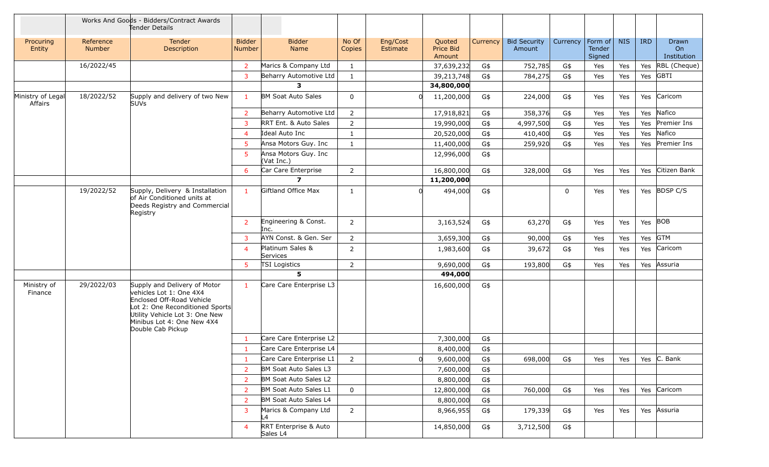|                              |                            | Works And Goods - Bidders/Contract Awards<br>Tender Details                                                                                                                                                  |                                |                                    |                 |                      |                               |                 |                               |          |                             |            |            |                            |
|------------------------------|----------------------------|--------------------------------------------------------------------------------------------------------------------------------------------------------------------------------------------------------------|--------------------------------|------------------------------------|-----------------|----------------------|-------------------------------|-----------------|-------------------------------|----------|-----------------------------|------------|------------|----------------------------|
| Procuring<br>Entity          | Reference<br><b>Number</b> | Tender<br>Description                                                                                                                                                                                        | <b>Bidder</b><br><b>Number</b> | <b>Bidder</b><br>Name              | No Of<br>Copies | Eng/Cost<br>Estimate | Quoted<br>Price Bid<br>Amount | <b>Currency</b> | <b>Bid Security</b><br>Amount | Currency | Form of<br>Tender<br>Signed | <b>NIS</b> | <b>IRD</b> | Drawn<br>On<br>Institution |
|                              | 16/2022/45                 |                                                                                                                                                                                                              | $\overline{2}$                 | Marics & Company Ltd               | $\mathbf{1}$    |                      | 37,639,232                    | G\$             | 752,785                       | G\$      | Yes                         | Yes        | Yes        | RBL (Cheque)               |
|                              |                            |                                                                                                                                                                                                              | $\overline{3}$                 | Beharry Automotive Ltd             | $\mathbf{1}$    |                      | 39,213,748                    | G\$             | 784,275                       | G\$      | Yes                         | Yes        | Yes        | <b>GBTI</b>                |
|                              |                            |                                                                                                                                                                                                              |                                | 3                                  |                 |                      | 34,800,000                    |                 |                               |          |                             |            |            |                            |
| Ministry of Legal<br>Affairs | 18/2022/52                 | Supply and delivery of two New<br><b>SUVs</b>                                                                                                                                                                | $\mathbf{1}$                   | <b>BM Soat Auto Sales</b>          | $\mathbf 0$     |                      | 11,200,000                    | G\$             | 224,000                       | G\$      | Yes                         | Yes        | Yes        | Caricom                    |
|                              |                            |                                                                                                                                                                                                              | $\overline{2}$                 | Beharry Automotive Ltd             | $\overline{2}$  |                      | 17,918,821                    | G\$             | 358,376                       | G\$      | Yes                         | Yes        | Yes        | Nafico                     |
|                              |                            |                                                                                                                                                                                                              | $\overline{3}$                 | RRT Ent. & Auto Sales              | $\overline{2}$  |                      | 19,990,000                    | G\$             | 4,997,500                     | G\$      | Yes                         | Yes        | Yes        | Premier Ins                |
|                              |                            |                                                                                                                                                                                                              | $\overline{4}$                 | Ideal Auto Inc                     | $\mathbf{1}$    |                      | 20,520,000                    | G\$             | 410,400                       | G\$      | Yes                         | Yes        | Yes        | Nafico                     |
|                              |                            |                                                                                                                                                                                                              | 5 <sup>5</sup>                 | Ansa Motors Guy. Inc               | $\mathbf{1}$    |                      | 11,400,000                    | G\$             | 259,920                       | G\$      | Yes                         | Yes        | Yes        | Premier Ins                |
|                              |                            |                                                                                                                                                                                                              | 5                              | Ansa Motors Guy. Inc<br>(Vat Inc.) |                 |                      | 12,996,000                    | G\$             |                               |          |                             |            |            |                            |
|                              |                            |                                                                                                                                                                                                              | 6                              | Car Care Enterprise                | $\overline{2}$  |                      | 16,800,000                    | G\$             | 328,000                       | G\$      | Yes                         | Yes        | Yes        | Citizen Bank               |
|                              |                            |                                                                                                                                                                                                              |                                | $\overline{ }$                     |                 |                      | 11,200,000                    |                 |                               |          |                             |            |            |                            |
|                              | 19/2022/52                 | Supply, Delivery & Installation<br>of Air Conditioned units at<br>Deeds Registry and Commercial<br>Registry                                                                                                  | $\mathbf{1}$                   | Giftland Office Max                | 1               |                      | 494,000                       | G\$             |                               | 0        | Yes                         | Yes        |            | Yes BDSP C/S               |
|                              |                            |                                                                                                                                                                                                              | $\overline{2}$                 | Engineering & Const.<br>Inc.       | 2               |                      | 3,163,524                     | G\$             | 63,270                        | G\$      | Yes                         | Yes        | Yes BOB    |                            |
|                              |                            |                                                                                                                                                                                                              | 3                              | AYN Const. & Gen. Ser              | $\overline{2}$  |                      | 3,659,300                     | G\$             | 90,000                        | G\$      | Yes                         | Yes        | Yes        | <b>GTM</b>                 |
|                              |                            |                                                                                                                                                                                                              | $\overline{4}$                 | Platinum Sales &<br>Services       | 2               |                      | 1,983,600                     | G\$             | 39,672                        | G\$      | Yes                         | Yes        | Yes        | Caricom                    |
|                              |                            |                                                                                                                                                                                                              | 5 <sup>5</sup>                 | <b>TSI Logistics</b>               | $\overline{2}$  |                      | 9,690,000                     | G\$             | 193,800                       | G\$      | Yes                         | Yes        | Yes        | Assuria                    |
|                              |                            |                                                                                                                                                                                                              |                                | 5                                  |                 |                      | 494,000                       |                 |                               |          |                             |            |            |                            |
| Ministry of<br>Finance       | 29/2022/03                 | Supply and Delivery of Motor<br>vehicles Lot 1: One 4X4<br>Enclosed Off-Road Vehicle<br>Lot 2: One Reconditioned Sports<br>Utility Vehicle Lot 3: One New<br>Minibus Lot 4: One New 4X4<br>Double Cab Pickup | $\mathbf{1}$                   | Care Care Enterprise L3            |                 |                      | 16,600,000                    | G\$             |                               |          |                             |            |            |                            |
|                              |                            |                                                                                                                                                                                                              | $\mathbf{1}$                   | Care Care Enterprise L2            |                 |                      | 7,300,000                     | G\$             |                               |          |                             |            |            |                            |
|                              |                            |                                                                                                                                                                                                              | $\mathbf{1}$                   | Care Care Enterprise L4            |                 |                      | 8,400,000                     | G\$             |                               |          |                             |            |            |                            |
|                              |                            |                                                                                                                                                                                                              | -1                             | Care Care Enterprise L1            | 2               | 0                    | 9,600,000                     | G\$             | 698,000                       | G\$      | Yes                         | Yes        |            | Yes $ C.$ Bank             |
|                              |                            |                                                                                                                                                                                                              | $\overline{2}$                 | BM Soat Auto Sales L3              |                 |                      | 7,600,000                     | G\$             |                               |          |                             |            |            |                            |
|                              |                            |                                                                                                                                                                                                              | 2                              | BM Soat Auto Sales L2              |                 |                      | 8,800,000                     | G\$             |                               |          |                             |            |            |                            |
|                              |                            |                                                                                                                                                                                                              | 2                              | BM Soat Auto Sales L1              | $\mathbf 0$     |                      | 12,800,000                    | G\$             | 760,000                       | G\$      | Yes                         | Yes        |            | Yes Caricom                |
|                              |                            |                                                                                                                                                                                                              | 2                              | BM Soat Auto Sales L4              |                 |                      | 8,800,000                     | G\$             |                               |          |                             |            |            |                            |
|                              |                            |                                                                                                                                                                                                              | 3                              | Marics & Company Ltd<br>L4         | $\overline{2}$  |                      | 8,966,955                     | G\$             | 179,339                       | G\$      | Yes                         | Yes        |            | Yes Assuria                |
|                              |                            |                                                                                                                                                                                                              | $\overline{4}$                 | RRT Enterprise & Auto<br>Sales L4  |                 |                      | 14,850,000                    | G\$             | 3,712,500                     | G\$      |                             |            |            |                            |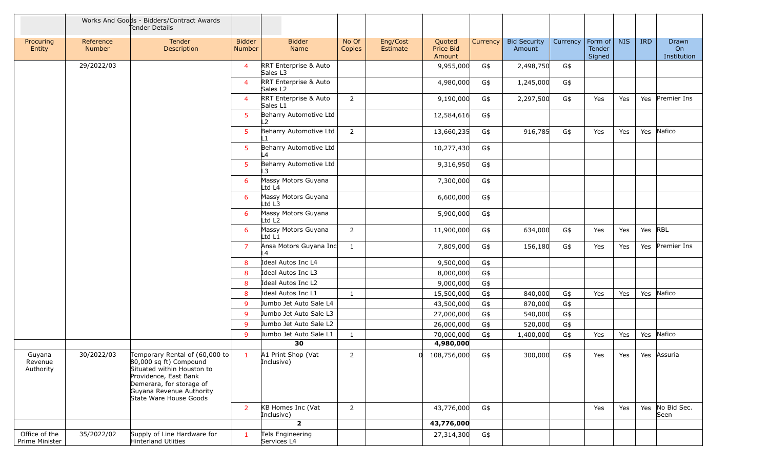|                                 |                     | Works And Goods - Bidders/Contract Awards<br>Tender Details                                                                                                                                                  |                                |                                               |                 |                      |                               |          |                               |          |                             |            |            |                            |
|---------------------------------|---------------------|--------------------------------------------------------------------------------------------------------------------------------------------------------------------------------------------------------------|--------------------------------|-----------------------------------------------|-----------------|----------------------|-------------------------------|----------|-------------------------------|----------|-----------------------------|------------|------------|----------------------------|
| Procuring<br>Entity             | Reference<br>Number | Tender<br>Description                                                                                                                                                                                        | <b>Bidder</b><br><b>Number</b> | <b>Bidder</b><br>Name                         | No Of<br>Copies | Eng/Cost<br>Estimate | Quoted<br>Price Bid<br>Amount | Currency | <b>Bid Security</b><br>Amount | Currency | Form of<br>Tender<br>Signed | <b>NIS</b> | <b>IRD</b> | Drawn<br>On<br>Institution |
|                                 | 29/2022/03          |                                                                                                                                                                                                              | $\overline{4}$                 | RRT Enterprise & Auto<br>Sales L3             |                 |                      | 9,955,000                     | G\$      | 2,498,750                     | G\$      |                             |            |            |                            |
|                                 |                     |                                                                                                                                                                                                              | $\overline{a}$                 | RRT Enterprise & Auto<br>Sales L <sub>2</sub> |                 |                      | 4,980,000                     | G\$      | 1,245,000                     | G\$      |                             |            |            |                            |
|                                 |                     |                                                                                                                                                                                                              | $\overline{\mathcal{A}}$       | RRT Enterprise & Auto<br>Sales L1             | $\overline{2}$  |                      | 9,190,000                     | G\$      | 2,297,500                     | G\$      | Yes                         | Yes        | Yes        | Premier Ins                |
|                                 |                     |                                                                                                                                                                                                              | 5                              | Beharry Automotive Ltd<br>-2                  |                 |                      | 12,584,616                    | G\$      |                               |          |                             |            |            |                            |
|                                 |                     |                                                                                                                                                                                                              | 5                              | Beharry Automotive Ltd                        | $\overline{2}$  |                      | 13,660,235                    | G\$      | 916,785                       | G\$      | Yes                         | Yes        | Yes        | Nafico                     |
|                                 |                     |                                                                                                                                                                                                              | 5                              | Beharry Automotive Ltd<br>$\overline{a}$      |                 |                      | 10,277,430                    | G\$      |                               |          |                             |            |            |                            |
|                                 |                     |                                                                                                                                                                                                              | 5                              | Beharry Automotive Ltd<br>3                   |                 |                      | 9,316,950                     | G\$      |                               |          |                             |            |            |                            |
|                                 |                     |                                                                                                                                                                                                              | 6                              | Massy Motors Guyana<br>Ltd L4                 |                 |                      | 7,300,000                     | G\$      |                               |          |                             |            |            |                            |
|                                 |                     |                                                                                                                                                                                                              | 6                              | Massy Motors Guyana<br>Ltd L3                 |                 |                      | 6,600,000                     | G\$      |                               |          |                             |            |            |                            |
|                                 |                     |                                                                                                                                                                                                              | 6                              | Massy Motors Guyana<br>Ltd L2                 |                 |                      | 5,900,000                     | G\$      |                               |          |                             |            |            |                            |
|                                 |                     |                                                                                                                                                                                                              | 6                              | Massy Motors Guyana<br>Ltd L1                 | $\overline{2}$  |                      | 11,900,000                    | G\$      | 634,000                       | G\$      | Yes                         | Yes        | Yes RBL    |                            |
|                                 |                     |                                                                                                                                                                                                              | 7                              | Ansa Motors Guyana Inc<br>$\overline{4}$      | 1               |                      | 7,809,000                     | G\$      | 156,180                       | G\$      | Yes                         | Yes        | Yes        | Premier Ins                |
|                                 |                     |                                                                                                                                                                                                              | 8                              | Ideal Autos Inc L4                            |                 |                      | 9,500,000                     | G\$      |                               |          |                             |            |            |                            |
|                                 |                     |                                                                                                                                                                                                              | 8                              | Ideal Autos Inc L3                            |                 |                      | 8,000,000                     | G\$      |                               |          |                             |            |            |                            |
|                                 |                     |                                                                                                                                                                                                              | 8                              | Ideal Autos Inc L2                            |                 |                      | 9,000,000                     | G\$      |                               |          |                             |            |            |                            |
|                                 |                     |                                                                                                                                                                                                              | 8                              | Ideal Autos Inc L1                            | 1               |                      | 15,500,000                    | G\$      | 840,000                       | G\$      | Yes                         | Yes        | Yes        | Nafico                     |
|                                 |                     |                                                                                                                                                                                                              | 9                              | Jumbo Jet Auto Sale L4                        |                 |                      | 43,500,000                    | G\$      | 870,000                       | G\$      |                             |            |            |                            |
|                                 |                     |                                                                                                                                                                                                              | 9                              | Jumbo Jet Auto Sale L3                        |                 |                      | 27,000,000                    | G\$      | 540,000                       | G\$      |                             |            |            |                            |
|                                 |                     |                                                                                                                                                                                                              | 9                              | Jumbo Jet Auto Sale L2                        |                 |                      | 26,000,000                    | G\$      | 520,000                       | G\$      |                             |            |            |                            |
|                                 |                     |                                                                                                                                                                                                              | 9                              | Jumbo Jet Auto Sale L1                        | 1               |                      | 70,000,000                    | G\$      | 1,400,000                     | G\$      | Yes                         | Yes        | Yes        | Nafico                     |
|                                 |                     |                                                                                                                                                                                                              |                                | 30                                            |                 |                      | 4,980,000                     |          |                               |          |                             |            |            |                            |
| Guyana<br>Revenue<br>Authority  | 30/2022/03          | Temporary Rental of $(60,000 \text{ to }$<br>80,000 sq ft) Compound<br>Situated within Houston to<br>Providence, East Bank<br>Demerara, for storage of<br>Guyana Revenue Authority<br>State Ware House Goods |                                | A1 Print Shop (Vat<br>Inclusive)              | $\overline{2}$  |                      | 108,756,000                   | G\$      | 300,000                       | G\$      | Yes                         | Yes        |            | Yes Assuria                |
|                                 |                     |                                                                                                                                                                                                              | $\overline{2}$                 | KB Homes Inc (Vat<br>Inclusive)               | $\overline{2}$  |                      | 43,776,000                    | G\$      |                               |          | Yes                         | Yes        | Yes        | No Bid Sec.<br>Seen        |
|                                 |                     |                                                                                                                                                                                                              |                                | $\overline{2}$                                |                 |                      | 43,776,000                    |          |                               |          |                             |            |            |                            |
| Office of the<br>Prime Minister | 35/2022/02          | Supply of Line Hardware for<br>Hinterland Utlities                                                                                                                                                           | $\mathbf{1}$                   | Tels Engineering<br>Services L4               |                 |                      | 27,314,300                    | G\$      |                               |          |                             |            |            |                            |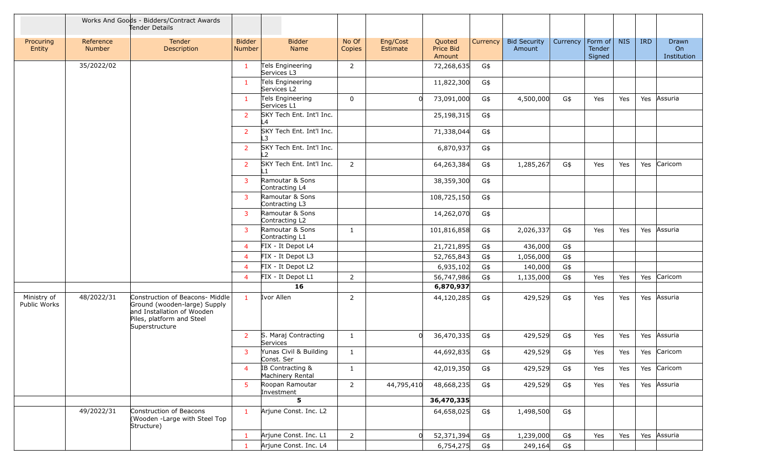|                             |                            | Works And Goods - Bidders/Contract Awards<br>Tender Details                                                                                  |                                |                                      |                 |                      |                               |          |                               |          |                                    |            |            |                            |
|-----------------------------|----------------------------|----------------------------------------------------------------------------------------------------------------------------------------------|--------------------------------|--------------------------------------|-----------------|----------------------|-------------------------------|----------|-------------------------------|----------|------------------------------------|------------|------------|----------------------------|
| Procuring<br>Entity         | Reference<br><b>Number</b> | Tender<br>Description                                                                                                                        | <b>Bidder</b><br><b>Number</b> | <b>Bidder</b><br>Name                | No Of<br>Copies | Eng/Cost<br>Estimate | Quoted<br>Price Bid<br>Amount | Currency | <b>Bid Security</b><br>Amount | Currency | Form of<br><b>Tender</b><br>Signed | <b>NIS</b> | <b>IRD</b> | Drawn<br>On<br>Institution |
|                             | 35/2022/02                 |                                                                                                                                              | $\mathbf{1}$                   | Tels Engineering<br>Services L3      | 2               |                      | 72,268,635                    | G\$      |                               |          |                                    |            |            |                            |
|                             |                            |                                                                                                                                              | $\mathbf{1}$                   | Tels Engineering<br>Services L2      |                 |                      | 11,822,300                    | G\$      |                               |          |                                    |            |            |                            |
|                             |                            |                                                                                                                                              | $\mathbf{1}$                   | Tels Engineering<br>Services L1      | $\Omega$        |                      | 73,091,000                    | G\$      | 4,500,000                     | G\$      | Yes                                | Yes        | Yes        | Assuria                    |
|                             |                            |                                                                                                                                              | $\overline{2}$                 | SKY Tech Ent. Int'l Inc.<br>L4       |                 |                      | 25,198,315                    | G\$      |                               |          |                                    |            |            |                            |
|                             |                            |                                                                                                                                              | $\overline{2}$                 | SKY Tech Ent. Int'l Inc.<br>L3       |                 |                      | 71,338,044                    | G\$      |                               |          |                                    |            |            |                            |
|                             |                            |                                                                                                                                              | $\overline{2}$                 | SKY Tech Ent. Int'l Inc.<br>L2       |                 |                      | 6,870,937                     | G\$      |                               |          |                                    |            |            |                            |
|                             |                            |                                                                                                                                              | $\overline{2}$                 | SKY Tech Ent. Int'l Inc.             | $\overline{2}$  |                      | 64,263,384                    | G\$      | 1,285,267                     | G\$      | Yes                                | Yes        | Yes        | Caricom                    |
|                             |                            |                                                                                                                                              | 3                              | Ramoutar & Sons<br>Contracting L4    |                 |                      | 38,359,300                    | G\$      |                               |          |                                    |            |            |                            |
|                             |                            |                                                                                                                                              | 3                              | Ramoutar & Sons<br>Contracting L3    |                 |                      | 108,725,150                   | G\$      |                               |          |                                    |            |            |                            |
|                             |                            |                                                                                                                                              | $\overline{3}$                 | Ramoutar & Sons<br>Contracting L2    |                 |                      | 14,262,070                    | G\$      |                               |          |                                    |            |            |                            |
|                             |                            |                                                                                                                                              | 3                              | Ramoutar & Sons<br>Contracting L1    | 1               |                      | 101,816,858                   | G\$      | 2,026,337                     | G\$      | Yes                                | Yes        | Yes        | Assuria                    |
|                             |                            |                                                                                                                                              | $\overline{4}$                 | FIX - It Depot L4                    |                 |                      | 21,721,895                    | G\$      | 436,000                       | G\$      |                                    |            |            |                            |
|                             |                            |                                                                                                                                              | 4                              | FIX - It Depot L3                    |                 |                      | 52,765,843                    | G\$      | 1,056,000                     | G\$      |                                    |            |            |                            |
|                             |                            |                                                                                                                                              | $\overline{4}$                 | FIX - It Depot L2                    |                 |                      | 6,935,102                     | G\$      | 140,000                       | G\$      |                                    |            |            |                            |
|                             |                            |                                                                                                                                              | $\overline{4}$                 | FIX - It Depot L1                    | $\overline{2}$  |                      | 56,747,986                    | G\$      | 1,135,000                     | G\$      | Yes                                | Yes        | Yes        | Caricom                    |
|                             |                            |                                                                                                                                              |                                | 16                                   |                 |                      | 6,870,937                     |          |                               |          |                                    |            |            |                            |
| Ministry of<br>Public Works | 48/2022/31                 | Construction of Beacons- Middle<br>Ground (wooden-large) Supply<br>and Installation of Wooden<br>Piles, platform and Steel<br>Superstructure | $\mathbf{1}$                   | Ivor Allen                           | 2               |                      | 44,120,285                    | G\$      | 429,529                       | G\$      | Yes                                | Yes        | Yes        | Assuria                    |
|                             |                            |                                                                                                                                              | $\overline{2}$                 | S. Maraj Contracting<br>Services     | 1               | n.                   | 36,470,335                    | G\$      | 429,529                       | G\$      | Yes                                | Yes        | Yes        | Assuria                    |
|                             |                            |                                                                                                                                              | 3                              | Yunas Civil & Building<br>Const. Ser | 1               |                      | 44,692,835                    | G\$      | 429,529                       | G\$      | Yes                                | Yes        |            | Yes Caricom                |
|                             |                            |                                                                                                                                              | $\overline{4}$                 | IB Contracting &<br>Machinery Rental | $\mathbf{1}$    |                      | 42,019,350                    | G\$      | 429,529                       | G\$      | Yes                                | Yes        | Yes        | Caricom                    |
|                             |                            |                                                                                                                                              | 5                              | Roopan Ramoutar<br>Investment        | $\overline{2}$  | 44,795,410           | 48,668,235                    | G\$      | 429,529                       | G\$      | Yes                                | Yes        | Yes        | Assuria                    |
|                             |                            |                                                                                                                                              |                                | 5                                    |                 |                      | 36,470,335                    |          |                               |          |                                    |            |            |                            |
|                             | 49/2022/31                 | Construction of Beacons<br>(Wooden -Large with Steel Top<br>Structure)                                                                       | $\mathbf{1}$                   | Arjune Const. Inc. L2                |                 |                      | 64,658,025                    | G\$      | 1,498,500                     | G\$      |                                    |            |            |                            |
|                             |                            |                                                                                                                                              | $\mathbf{1}$                   | Arjune Const. Inc. L1                | $\overline{2}$  | 0                    | 52,371,394                    | G\$      | 1,239,000                     | G\$      | Yes                                | Yes        | Yes        | Assuria                    |
|                             |                            |                                                                                                                                              | $\mathbf{1}$                   | Arjune Const. Inc. L4                |                 |                      | 6,754,275                     | G\$      | 249,164                       | G\$      |                                    |            |            |                            |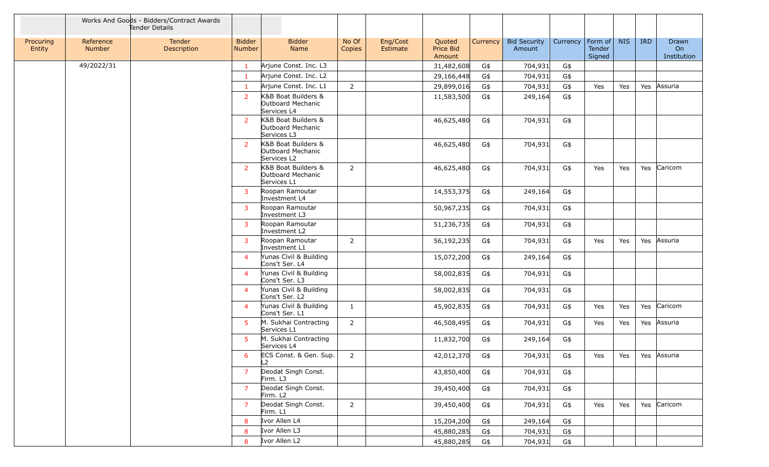|                     |                            | Works And Goods - Bidders/Contract Awards<br>Tender Details |                         |                                                         |                 |                      |                               |          |                               |          |                                     |            |            |                            |
|---------------------|----------------------------|-------------------------------------------------------------|-------------------------|---------------------------------------------------------|-----------------|----------------------|-------------------------------|----------|-------------------------------|----------|-------------------------------------|------------|------------|----------------------------|
| Procuring<br>Entity | Reference<br><b>Number</b> | Tender<br>Description                                       | <b>Bidder</b><br>Number | <b>Bidder</b><br>Name                                   | No Of<br>Copies | Eng/Cost<br>Estimate | Quoted<br>Price Bid<br>Amount | Currency | <b>Bid Security</b><br>Amount | Currency | $ $ Form of $ $<br>Tender<br>Signed | <b>NIS</b> | <b>IRD</b> | Drawn<br>On<br>Institution |
|                     | 49/2022/31                 |                                                             | $\mathbf{1}$            | Arjune Const. Inc. L3                                   |                 |                      | 31,482,608                    | G\$      | 704,931                       | G\$      |                                     |            |            |                            |
|                     |                            |                                                             | $\mathbf{1}$            | Arjune Const. Inc. L2                                   |                 |                      | 29,166,448                    | G\$      | 704,931                       | G\$      |                                     |            |            |                            |
|                     |                            |                                                             | $\mathbf{1}$            | Arjune Const. Inc. L1                                   | $\overline{2}$  |                      | 29,899,016                    | G\$      | 704,931                       | G\$      | Yes                                 | Yes        | Yes        | Assuria                    |
|                     |                            |                                                             | <sup>2</sup>            | K&B Boat Builders &<br>Outboard Mechanic<br>Services L4 |                 |                      | 11,583,500                    | G\$      | 249,164                       | G\$      |                                     |            |            |                            |
|                     |                            |                                                             | $\overline{2}$          | K&B Boat Builders &<br>Outboard Mechanic<br>Services L3 |                 |                      | 46,625,480                    | G\$      | 704,931                       | G\$      |                                     |            |            |                            |
|                     |                            |                                                             | <sup>2</sup>            | K&B Boat Builders &<br>Outboard Mechanic<br>Services L2 |                 |                      | 46,625,480                    | G\$      | 704,931                       | G\$      |                                     |            |            |                            |
|                     |                            |                                                             | 2                       | K&B Boat Builders &<br>Outboard Mechanic<br>Services L1 | 2               |                      | 46,625,480                    | G\$      | 704,931                       | G\$      | Yes                                 | Yes        | Yes        | Caricom                    |
|                     |                            |                                                             | 3                       | Roopan Ramoutar<br>Investment L4                        |                 |                      | 14,553,375                    | G\$      | 249,164                       | G\$      |                                     |            |            |                            |
|                     |                            |                                                             | 3                       | Roopan Ramoutar<br>Investment L3                        |                 |                      | 50,967,235                    | G\$      | 704,931                       | G\$      |                                     |            |            |                            |
|                     |                            |                                                             | 3                       | Roopan Ramoutar<br>Investment L2                        |                 |                      | 51,236,735                    | G\$      | 704,931                       | G\$      |                                     |            |            |                            |
|                     |                            |                                                             | $\overline{3}$          | Roopan Ramoutar<br>Investment L1                        | 2               |                      | 56,192,235                    | G\$      | 704,931                       | G\$      | Yes                                 | Yes        | Yes        | Assuria                    |
|                     |                            |                                                             | $\overline{4}$          | Yunas Civil & Building<br>Cons't Ser. L4                |                 |                      | 15,072,200                    | G\$      | 249,164                       | G\$      |                                     |            |            |                            |
|                     |                            |                                                             | $\overline{4}$          | Yunas Civil & Building<br>Cons't Ser. L3                |                 |                      | 58,002,835                    | G\$      | 704,931                       | G\$      |                                     |            |            |                            |
|                     |                            |                                                             | $\overline{4}$          | Yunas Civil & Building<br>Cons't Ser. L2                |                 |                      | 58,002,835                    | G\$      | 704,931                       | G\$      |                                     |            |            |                            |
|                     |                            |                                                             | $\overline{4}$          | Yunas Civil & Building<br>Cons't Ser. L1                | 1               |                      | 45,902,835                    | G\$      | 704,931                       | G\$      | Yes                                 | Yes        | Yes        | Caricom                    |
|                     |                            |                                                             | 5                       | M. Sukhai Contracting<br>Services L1                    | 2               |                      | 46,508,495                    | G\$      | 704,931                       | G\$      | Yes                                 | Yes        | Yes        | Assuria                    |
|                     |                            |                                                             | 5                       | M. Sukhai Contracting<br>Services L4                    |                 |                      | 11,832,700                    | G\$      | 249,164                       | G\$      |                                     |            |            |                            |
|                     |                            |                                                             | 6 <sup>1</sup>          | ECS Const. & Gen. Sup.<br>L2                            | $\overline{2}$  |                      | 42,012,370                    | G\$      | 704,931                       | G\$      | Yes                                 |            |            | Yes Yes Assuria            |
|                     |                            |                                                             | $\overline{7}$          | Deodat Singh Const.<br>Firm. L3                         |                 |                      | 43,850,400                    | G\$      | 704,931                       | G\$      |                                     |            |            |                            |
|                     |                            |                                                             | $\overline{7}$          | Deodat Singh Const.<br>Firm. L2                         |                 |                      | 39,450,400                    | G\$      | 704,931                       | G\$      |                                     |            |            |                            |
|                     |                            |                                                             | $\overline{7}$          | Deodat Singh Const.<br>Firm. L1                         | $\overline{2}$  |                      | 39,450,400                    | G\$      | 704,931                       | G\$      | Yes                                 | Yes        |            | Yes Caricom                |
|                     |                            |                                                             | 8                       | Ivor Allen L4                                           |                 |                      | 15,204,200                    | G\$      | 249,164                       | G\$      |                                     |            |            |                            |
|                     |                            |                                                             | 8                       | Ivor Allen L3                                           |                 |                      | 45,880,285                    | G\$      | 704,931                       | G\$      |                                     |            |            |                            |
|                     |                            |                                                             | 8                       | Ivor Allen L2                                           |                 |                      | 45,880,285                    | G\$      | 704,931                       | G\$      |                                     |            |            |                            |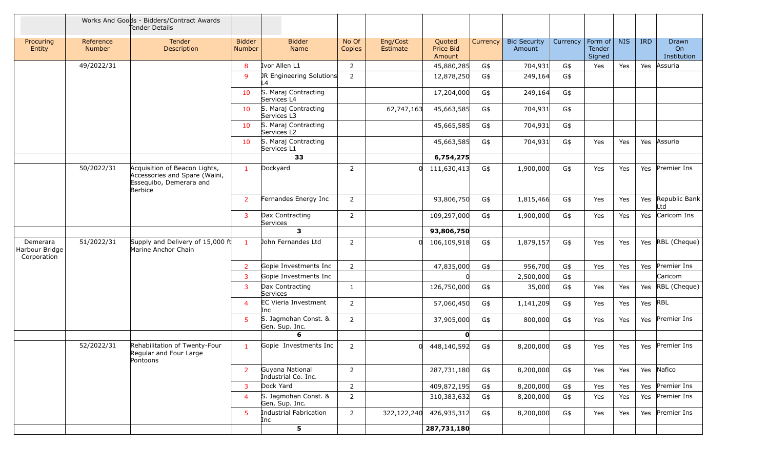|                                           |                            | Works And Goods - Bidders/Contract Awards<br>Tender Details                                          |                                |                                        |                 |                      |                               |          |                               |          |                             |            |            |                                   |
|-------------------------------------------|----------------------------|------------------------------------------------------------------------------------------------------|--------------------------------|----------------------------------------|-----------------|----------------------|-------------------------------|----------|-------------------------------|----------|-----------------------------|------------|------------|-----------------------------------|
| Procuring<br>Entity                       | Reference<br><b>Number</b> | Tender<br>Description                                                                                | <b>Bidder</b><br><b>Number</b> | <b>Bidder</b><br>Name                  | No Of<br>Copies | Eng/Cost<br>Estimate | Quoted<br>Price Bid<br>Amount | Currency | <b>Bid Security</b><br>Amount | Currency | Form of<br>Tender<br>Signed | <b>NIS</b> | <b>IRD</b> | <b>Drawn</b><br>On<br>Institution |
|                                           | 49/2022/31                 |                                                                                                      | 8                              | Ivor Allen L1                          | 2               |                      | 45,880,285                    | G\$      | 704,931                       | G\$      | Yes                         | Yes        | Yes        | Assuria                           |
|                                           |                            |                                                                                                      | 9                              | JR Engineering Solutions<br>L4         | $\overline{2}$  |                      | 12,878,250                    | G\$      | 249,164                       | G\$      |                             |            |            |                                   |
|                                           |                            |                                                                                                      | 10                             | S. Maraj Contracting<br>Services L4    |                 |                      | 17,204,000                    | G\$      | 249,164                       | G\$      |                             |            |            |                                   |
|                                           |                            |                                                                                                      | 10                             | S. Maraj Contracting<br>Services L3    |                 | 62,747,163           | 45,663,585                    | G\$      | 704,931                       | G\$      |                             |            |            |                                   |
|                                           |                            |                                                                                                      | 10                             | S. Maraj Contracting<br>Services L2    |                 |                      | 45,665,585                    | G\$      | 704,931                       | G\$      |                             |            |            |                                   |
|                                           |                            |                                                                                                      | 10                             | S. Maraj Contracting<br>Services L1    |                 |                      | 45,663,585                    | G\$      | 704,931                       | G\$      | Yes                         | Yes        | Yes        | Assuria                           |
|                                           |                            |                                                                                                      |                                | 33                                     |                 |                      | 6,754,275                     |          |                               |          |                             |            |            |                                   |
|                                           | 50/2022/31                 | Acquisition of Beacon Lights,<br>Accessories and Spare (Waini,<br>Essequibo, Demerara and<br>Berbice | $\mathbf{1}$                   | Dockyard                               | $\overline{2}$  | 0l                   | 111,630,413                   | G\$      | 1,900,000                     | G\$      | Yes                         | Yes        |            | Yes Premier Ins                   |
|                                           |                            |                                                                                                      | $\overline{2}$                 | Fernandes Energy Inc                   | 2               |                      | 93,806,750                    | G\$      | 1,815,466                     | G\$      | Yes                         | Yes        | Yes        | Republic Bank<br>Ltd              |
|                                           |                            |                                                                                                      | 3                              | Dax Contracting<br>Services            | 2               |                      | 109,297,000                   | G\$      | 1,900,000                     | G\$      | Yes                         | Yes        | Yes        | Caricom Ins                       |
|                                           |                            |                                                                                                      |                                | $\overline{\mathbf{3}}$                |                 |                      | 93,806,750                    |          |                               |          |                             |            |            |                                   |
| Demerara<br>Harbour Bridge<br>Corporation | 51/2022/31                 | Supply and Delivery of 15,000 ft<br>Marine Anchor Chain                                              | $\mathbf{1}$                   | John Fernandes Ltd                     | $\overline{2}$  | <sub>0</sub>         | 106,109,918                   | G\$      | 1,879,157                     | G\$      | Yes                         | Yes        | Yes        | RBL (Cheque)                      |
|                                           |                            |                                                                                                      | $\overline{2}$                 | Gopie Investments Inc                  | 2               |                      | 47,835,000                    | G\$      | 956,700                       | G\$      | Yes                         | Yes        | Yes        | Premier Ins                       |
|                                           |                            |                                                                                                      | 3                              | Gopie Investments Inc                  |                 |                      |                               |          | 2,500,000                     | G\$      |                             |            |            | Caricom                           |
|                                           |                            |                                                                                                      | $\overline{3}$                 | Dax Contracting<br>Services            | $\mathbf{1}$    |                      | 126,750,000                   | G\$      | 35,000                        | G\$      | Yes                         | Yes        | Yes        | RBL (Cheque)                      |
|                                           |                            |                                                                                                      | $\overline{4}$                 | <b>EC Vieria Investment</b><br>Inc     | $\overline{2}$  |                      | 57,060,450                    | G\$      | 1,141,209                     | G\$      | Yes                         | Yes        | Yes        | RBL                               |
|                                           |                            |                                                                                                      | 5                              | S. Jagmohan Const. &<br>Gen. Sup. Inc. | $\overline{2}$  |                      | 37,905,000                    | G\$      | 800,000                       | G\$      | Yes                         | Yes        | Yes        | Premier Ins                       |
|                                           |                            |                                                                                                      |                                | 6                                      |                 |                      | $\mathbf{0}$                  |          |                               |          |                             |            |            |                                   |
|                                           | 52/2022/31                 | Rehabilitation of Twenty-Four<br>Regular and Four Large<br>Pontoons                                  | $\mathbf{1}$                   | Gopie Investments Inc                  | 2               | $\Omega$             | 448,140,592                   | G\$      | 8,200,000                     | G\$      | Yes                         | Yes        |            | Yes Premier Ins                   |
|                                           |                            |                                                                                                      | $\overline{2}$                 | Guyana National<br>Industrial Co. Inc. | $\overline{2}$  |                      | 287,731,180                   | G\$      | 8,200,000                     | G\$      | Yes                         | Yes        | Yes        | Nafico                            |
|                                           |                            |                                                                                                      | 3                              | Dock Yard                              | $\overline{2}$  |                      | 409,872,195                   | G\$      | 8,200,000                     | G\$      | Yes                         | Yes        | Yes        | Premier Ins                       |
|                                           |                            |                                                                                                      | $\overline{4}$                 | S. Jagmohan Const. &<br>Gen. Sup. Inc. | 2               |                      | 310,383,632                   | G\$      | 8,200,000                     | G\$      | Yes                         | Yes        | Yes        | Premier Ins                       |
|                                           |                            |                                                                                                      | 5                              | Industrial Fabrication<br>Inc          | $\overline{2}$  | 322,122,240          | 426,935,312                   | G\$      | 8,200,000                     | G\$      | Yes                         | Yes        |            | Yes Premier Ins                   |
|                                           |                            |                                                                                                      |                                | 5                                      |                 |                      | 287,731,180                   |          |                               |          |                             |            |            |                                   |